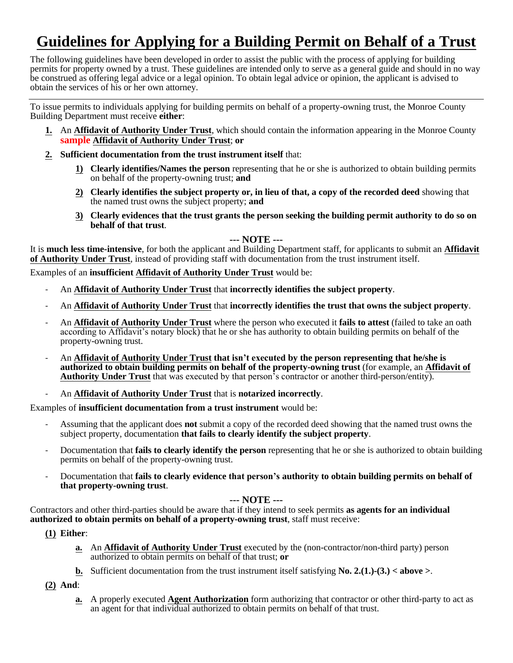# **Guidelines for Applying for a Building Permit on Behalf of a Trust**

The following guidelines have been developed in order to assist the public with the process of applying for building permits for property owned by a trust. These guidelines are intended only to serve as a general guide and should in no way be construed as offering legal advice or a legal opinion. To obtain legal advice or opinion, the applicant is advised to obtain the services of his or her own attorney.

To issue permits to individuals applying for building permits on behalf of a property-owning trust, the Monroe County Building Department must receive **either**:

- **1.** An **Affidavit of Authority Under Trust**, which should contain the information appearing in the Monroe County **sample Affidavit of Authority Under Trust**; **or**
- **2. Sufficient documentation from the trust instrument itself** that:
	- **1) Clearly identifies/Names the person** representing that he or she is authorized to obtain building permits on behalf of the property-owning trust; **and**
	- **2) Clearly identifies the subject property or, in lieu of that, a copy of the recorded deed** showing that the named trust owns the subject property; **and**
	- **3) Clearly evidences that the trust grants the person seeking the building permit authority to do so on behalf of that trust**.

#### **--- NOTE ---**

It is **much less time-intensive**, for both the applicant and Building Department staff, for applicants to submit an **Affidavit of Authority Under Trust**, instead of providing staff with documentation from the trust instrument itself.

Examples of an **insufficient Affidavit of Authority Under Trust** would be:

- An **Affidavit of Authority Under Trust** that **incorrectly identifies the subject property**.
- An **Affidavit of Authority Under Trust** that **incorrectly identifies the trust that owns the subject property**.
- An **Affidavit of Authority Under Trust** where the person who executed it **fails to attest** (failed to take an oath according to Affidavit's notary block) that he or she has authority to obtain building permits on behalf of the property-owning trust.
- An **Affidavit of Authority Under Trust that isn't executed by the person representing that he/she is authorized to obtain building permits on behalf of the property-owning trust** (for example, an **Affidavit of Authority Under Trust** that was executed by that person's contractor or another third-person/entity).

#### - An **Affidavit of Authority Under Trust** that is **notarized incorrectly**.

Examples of **insufficient documentation from a trust instrument** would be:

- Assuming that the applicant does **not** submit a copy of the recorded deed showing that the named trust owns the subject property, documentation **that fails to clearly identify the subject property**.
- Documentation that **fails to clearly identify the person** representing that he or she is authorized to obtain building permits on behalf of the property-owning trust.
- Documentation that **fails to clearly evidence that person's authority to obtain building permits on behalf of that property-owning trust**.

#### **--- NOTE ---**

Contractors and other third-parties should be aware that if they intend to seek permits **as agents for an individual authorized to obtain permits on behalf of a property-owning trust**, staff must receive:

**(1) Either**:

- **a.** An **Affidavit of Authority Under Trust** executed by the (non-contractor/non-third party) person authorized to obtain permits on behalf of that trust; **or**
- **b.** Sufficient documentation from the trust instrument itself satisfying **No. 2.(1.)-(3.) < above >**.

**(2) And**:

**a.** A properly executed **Agent Authorization** form authorizing that contractor or other third-party to act as an agent for that individual authorized to obtain permits on behalf of that trust.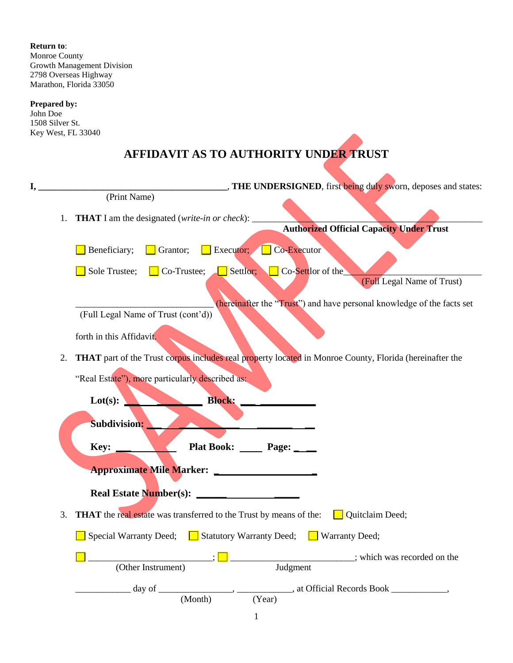**Return to**: Monroe County Growth Management Division 2798 Overseas Highway Marathon, Florida 33050

### **Prepared by:**

John Doe 1508 Silver St. Key West, FL 33040

## **AFFIDAVIT AS TO AUTHORITY UNDER TRUST**

| I, | "THE UNDERSIGNED, first being duly sworn, deposes and states:                                                  |
|----|----------------------------------------------------------------------------------------------------------------|
|    | (Print Name)                                                                                                   |
| 1. | <b>THAT</b> I am the designated (write-in or check): _____                                                     |
|    | <b>Authorized Official Capacity Under Trust</b>                                                                |
|    | Co-Executor<br>$\Box$ Executor;<br>Beneficiary;<br>Grantor;                                                    |
|    | Settlor;<br>Co-Settlor of the<br>Sole Trustee;<br>Co-Trustee;                                                  |
|    | (Full Legal Name of Trust)                                                                                     |
|    | (hereinafter the "Trust") and have personal knowledge of the facts set                                         |
|    | (Full Legal Name of Trust (cont'd))                                                                            |
|    | forth in this Affidavit.                                                                                       |
| 2. | <b>THAT</b> part of the Trust corpus includes real property located in Monroe County, Florida (hereinafter the |
|    |                                                                                                                |
|    | "Real Estate"), more particularly described as:                                                                |
|    | <b>Block:</b><br>Lot(s):                                                                                       |
|    |                                                                                                                |
|    | Subdivision:                                                                                                   |
|    | Key:<br>Plat Book: <u>Department</u> Page: ___                                                                 |
|    |                                                                                                                |
|    |                                                                                                                |
|    |                                                                                                                |
| 3. | THAT the real estate was transferred to the Trust by means of the:<br><b>Quitclaim Deed</b> ;                  |
|    | Special Warranty Deed; $\Box$ Statutory Warranty Deed;<br>$\Box$ Warranty Deed;                                |
|    | which was recorded on the                                                                                      |
|    | Judgment<br>(Other Instrument)                                                                                 |
|    | ___________, at Official Records Book ______________,<br>$\frac{day}{dx}$                                      |
|    | (Month)<br>(Year)                                                                                              |